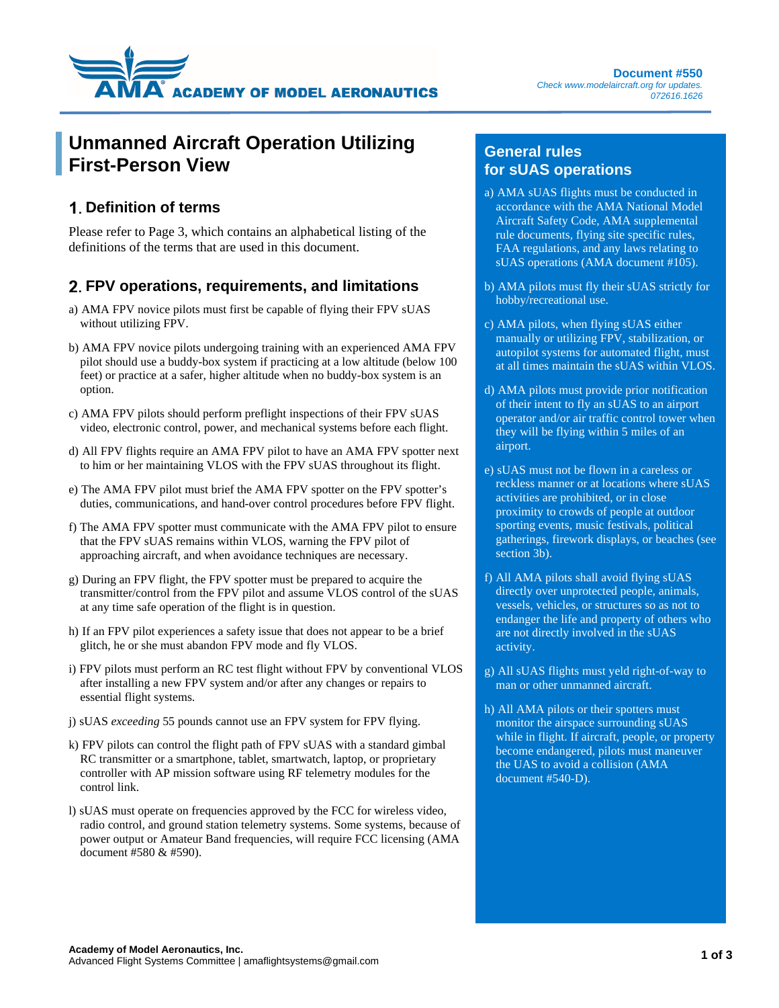

## **Unmanned Aircraft Operation Utilizing First-Person View**

### **Definition of terms**

Please refer to Page 3, which contains an alphabetical listing of the definitions of the terms that are used in this document.

### **FPV operations, requirements, and limitations**

- a) AMA FPV novice pilots must first be capable of flying their FPV sUAS without utilizing FPV.
- b) AMA FPV novice pilots undergoing training with an experienced AMA FPV pilot should use a buddy-box system if practicing at a low altitude (below 100 feet) or practice at a safer, higher altitude when no buddy-box system is an option.
- c) AMA FPV pilots should perform preflight inspections of their FPV sUAS video, electronic control, power, and mechanical systems before each flight.
- d) All FPV flights require an AMA FPV pilot to have an AMA FPV spotter next to him or her maintaining VLOS with the FPV sUAS throughout its flight.
- e) The AMA FPV pilot must brief the AMA FPV spotter on the FPV spotter's duties, communications, and hand-over control procedures before FPV flight.
- f) The AMA FPV spotter must communicate with the AMA FPV pilot to ensure that the FPV sUAS remains within VLOS, warning the FPV pilot of approaching aircraft, and when avoidance techniques are necessary.
- g) During an FPV flight, the FPV spotter must be prepared to acquire the transmitter/control from the FPV pilot and assume VLOS control of the sUAS at any time safe operation of the flight is in question.
- h) If an FPV pilot experiences a safety issue that does not appear to be a brief glitch, he or she must abandon FPV mode and fly VLOS.
- i) FPV pilots must perform an RC test flight without FPV by conventional VLOS after installing a new FPV system and/or after any changes or repairs to essential flight systems.
- j) sUAS *exceeding* 55 pounds cannot use an FPV system for FPV flying.
- k) FPV pilots can control the flight path of FPV sUAS with a standard gimbal RC transmitter or a smartphone, tablet, smartwatch, laptop, or proprietary controller with AP mission software using RF telemetry modules for the control link.
- l) sUAS must operate on frequencies approved by the FCC for wireless video, radio control, and ground station telemetry systems. Some systems, because of power output or Amateur Band frequencies, will require FCC licensing (AMA document #580 & #590).

### **General rules for sUAS operations**

- a) AMA sUAS flights must be conducted in accordance with the AMA National Model Aircraft Safety Code, AMA supplemental rule documents, flying site specific rules, FAA regulations, and any laws relating to sUAS operations (AMA document #105).
- b) AMA pilots must fly their sUAS strictly for hobby/recreational use.
- c) AMA pilots, when flying sUAS either manually or utilizing FPV, stabilization, or autopilot systems for automated flight, must at all times maintain the sUAS within VLOS.
- d) AMA pilots must provide prior notification of their intent to fly an sUAS to an airport operator and/or air traffic control tower when they will be flying within 5 miles of an airport.
- e) sUAS must not be flown in a careless or reckless manner or at locations where sUAS activities are prohibited, or in close proximity to crowds of people at outdoor sporting events, music festivals, political gatherings, firework displays, or beaches (see section 3b).
- f) All AMA pilots shall avoid flying sUAS directly over unprotected people, animals, vessels, vehicles, or structures so as not to endanger the life and property of others who are not directly involved in the sUAS activity.
- g) All sUAS flights must yeld right-of-way to man or other unmanned aircraft.
- h) All AMA pilots or their spotters must monitor the airspace surrounding sUAS while in flight. If aircraft, people, or property become endangered, pilots must maneuver the UAS to avoid a collision (AMA document #540-D).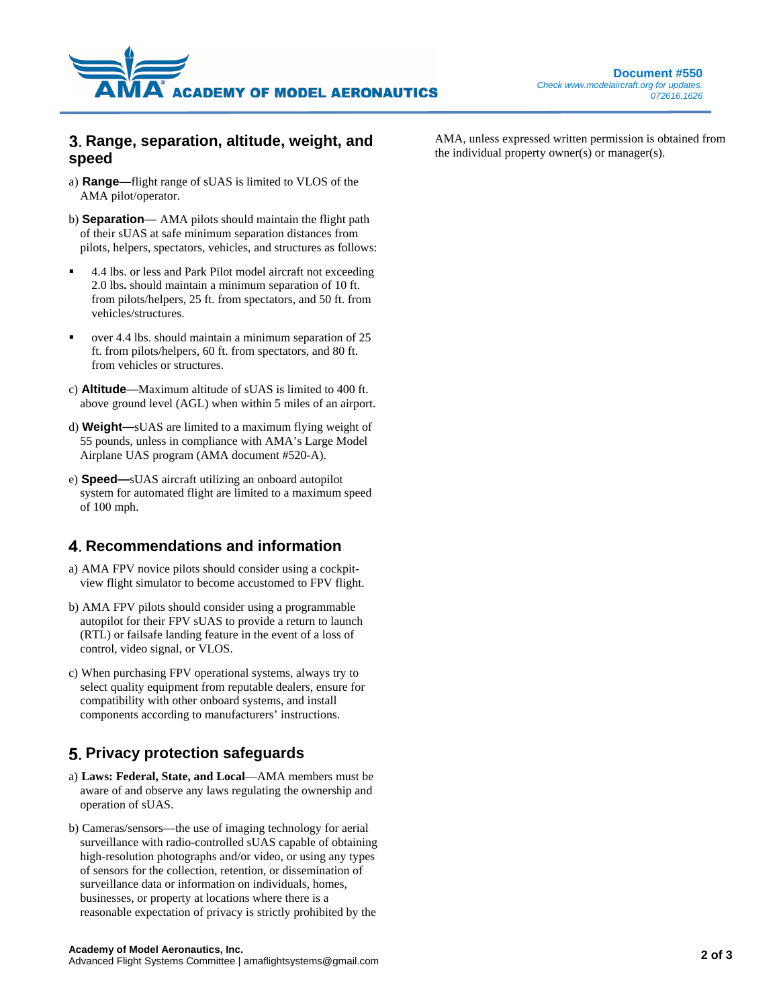

### **Range, separation, altitude, weight, and speed**

- a) **Range**—flight range of sUAS is limited to VLOS of the AMA pilot/operator.
- b) **Separation** AMA pilots should maintain the flight path of their sUAS at safe minimum separation distances from pilots, helpers, spectators, vehicles, and structures as follows:
- 4.4 lbs. or less and Park Pilot model aircraft not exceeding 2.0 lbs**.** should maintain a minimum separation of 10 ft. from pilots/helpers, 25 ft. from spectators, and 50 ft. from vehicles/structures.
- over 4.4 lbs. should maintain a minimum separation of 25 ft. from pilots/helpers, 60 ft. from spectators, and 80 ft. from vehicles or structures.
- c) **Altitude**—Maximum altitude of sUAS is limited to 400 ft. above ground level (AGL) when within 5 miles of an airport.
- d) **Weight—**sUAS are limited to a maximum flying weight of 55 pounds, unless in compliance with AMA's Large Model Airplane UAS program (AMA document #520-A).
- e) **Speed—**sUAS aircraft utilizing an onboard autopilot system for automated flight are limited to a maximum speed of 100 mph.

### **Recommendations and information**

- a) AMA FPV novice pilots should consider using a cockpitview flight simulator to become accustomed to FPV flight.
- b) AMA FPV pilots should consider using a programmable autopilot for their FPV sUAS to provide a return to launch (RTL) or failsafe landing feature in the event of a loss of control, video signal, or VLOS.
- c) When purchasing FPV operational systems, always try to select quality equipment from reputable dealers, ensure for compatibility with other onboard systems, and install components according to manufacturers' instructions.

## **5. Privacy protection safeguards**

- a) **Laws: Federal, State, and Local**—AMA members must be aware of and observe any laws regulating the ownership and operation of sUAS.
- b) Cameras/sensors—the use of imaging technology for aerial surveillance with radio-controlled sUAS capable of obtaining high-resolution photographs and/or video, or using any types of sensors for the collection, retention, or dissemination of surveillance data or information on individuals, homes, businesses, or property at locations where there is a reasonable expectation of privacy is strictly prohibited by the

AMA, unless expressed written permission is obtained from the individual property owner(s) or manager(s).